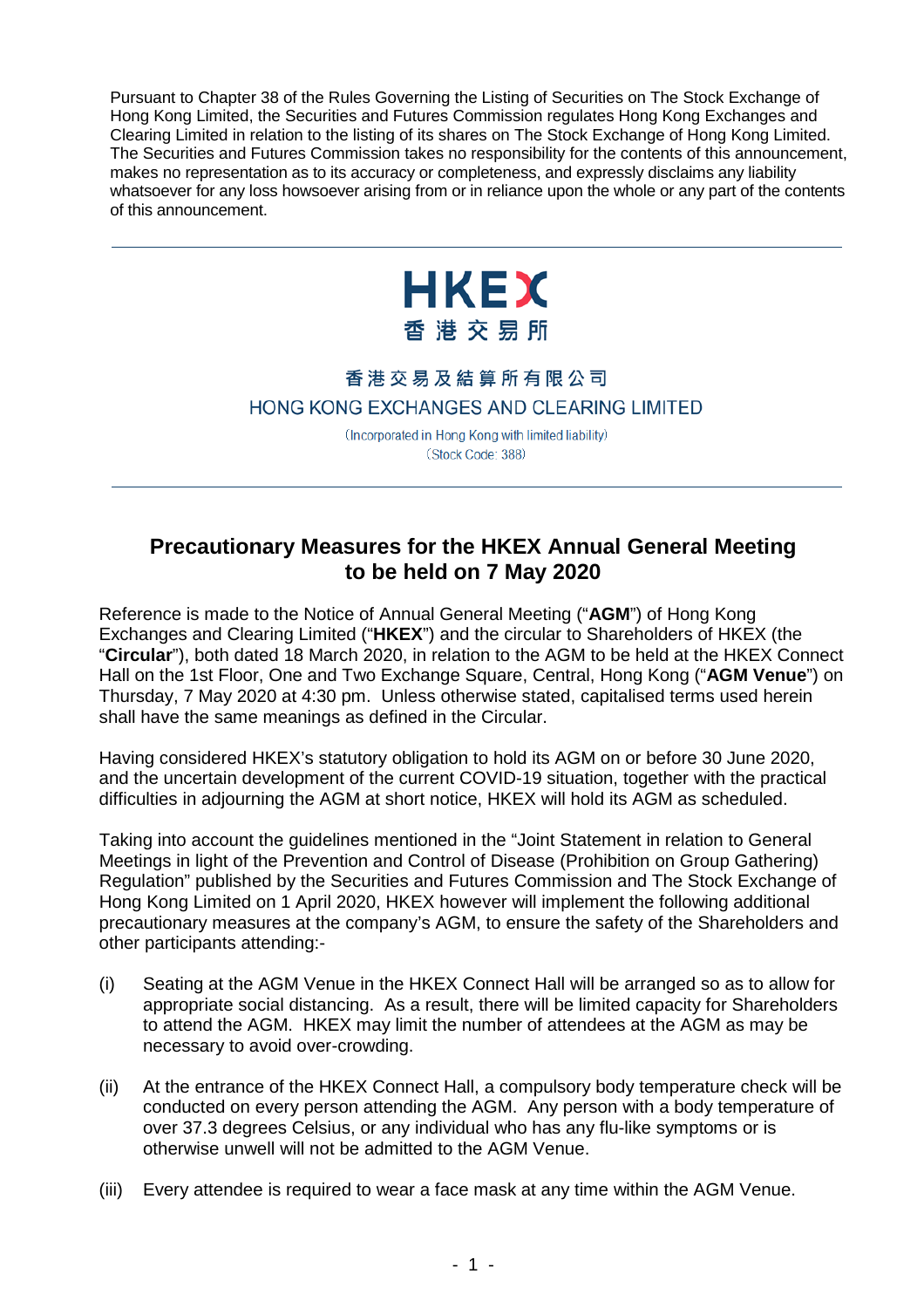Pursuant to Chapter 38 of the Rules Governing the Listing of Securities on The Stock Exchange of Hong Kong Limited, the Securities and Futures Commission regulates Hong Kong Exchanges and Clearing Limited in relation to the listing of its shares on The Stock Exchange of Hong Kong Limited. The Securities and Futures Commission takes no responsibility for the contents of this announcement, makes no representation as to its accuracy or completeness, and expressly disclaims any liability whatsoever for any loss howsoever arising from or in reliance upon the whole or any part of the contents of this announcement.



## 香港交易及結算所有限公司 HONG KONG EXCHANGES AND CLEARING LIMITED

(Incorporated in Hong Kong with limited liability) (Stock Code: 388)

## **Precautionary Measures for the HKEX Annual General Meeting to be held on 7 May 2020**

Reference is made to the Notice of Annual General Meeting ("**AGM**") of Hong Kong Exchanges and Clearing Limited ("**HKEX**") and the circular to Shareholders of HKEX (the "**Circular**"), both dated 18 March 2020, in relation to the AGM to be held at the HKEX Connect Hall on the 1st Floor, One and Two Exchange Square, Central, Hong Kong ("**AGM Venue**") on Thursday, 7 May 2020 at 4:30 pm. Unless otherwise stated, capitalised terms used herein shall have the same meanings as defined in the Circular.

Having considered HKEX's statutory obligation to hold its AGM on or before 30 June 2020, and the uncertain development of the current COVID-19 situation, together with the practical difficulties in adjourning the AGM at short notice, HKEX will hold its AGM as scheduled.

Taking into account the guidelines mentioned in the "Joint Statement in relation to General Meetings in light of the Prevention and Control of Disease (Prohibition on Group Gathering) Regulation" published by the Securities and Futures Commission and The Stock Exchange of Hong Kong Limited on 1 April 2020, HKEX however will implement the following additional precautionary measures at the company's AGM, to ensure the safety of the Shareholders and other participants attending:-

- (i) Seating at the AGM Venue in the HKEX Connect Hall will be arranged so as to allow for appropriate social distancing. As a result, there will be limited capacity for Shareholders to attend the AGM. HKEX may limit the number of attendees at the AGM as may be necessary to avoid over-crowding.
- (ii) At the entrance of the HKEX Connect Hall, a compulsory body temperature check will be conducted on every person attending the AGM. Any person with a body temperature of over 37.3 degrees Celsius, or any individual who has any flu-like symptoms or is otherwise unwell will not be admitted to the AGM Venue.
- (iii) Every attendee is required to wear a face mask at any time within the AGM Venue.